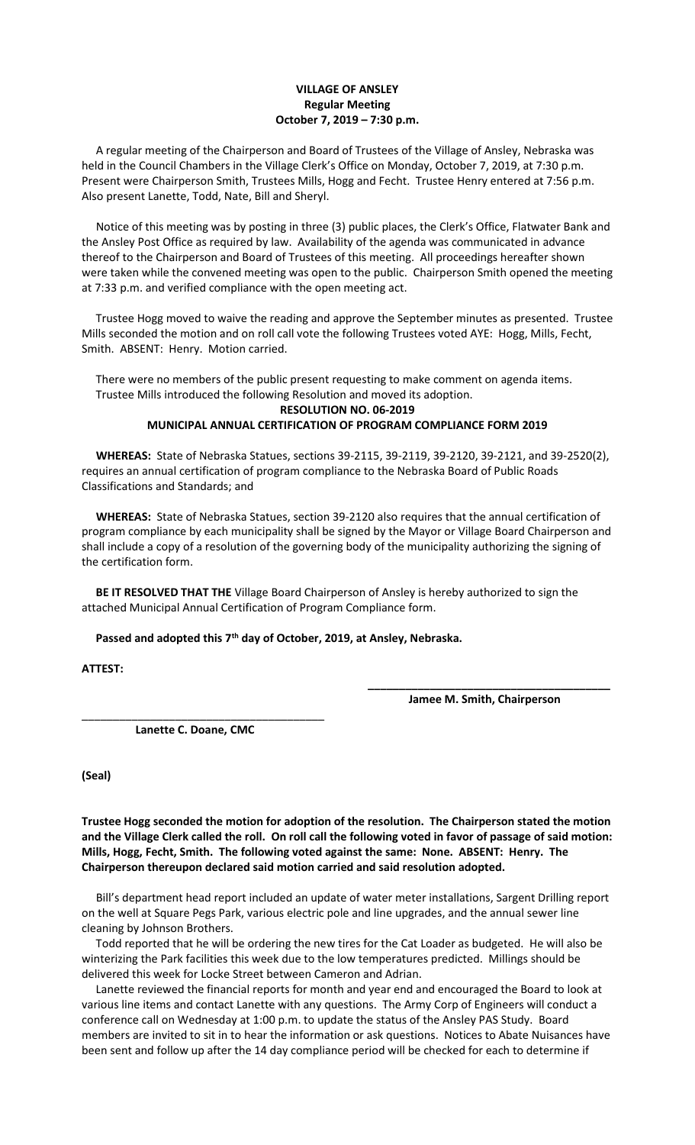## **VILLAGE OF ANSLEY Regular Meeting October 7, 2019 – 7:30 p.m.**

 A regular meeting of the Chairperson and Board of Trustees of the Village of Ansley, Nebraska was held in the Council Chambers in the Village Clerk's Office on Monday, October 7, 2019, at 7:30 p.m. Present were Chairperson Smith, Trustees Mills, Hogg and Fecht. Trustee Henry entered at 7:56 p.m. Also present Lanette, Todd, Nate, Bill and Sheryl.

 Notice of this meeting was by posting in three (3) public places, the Clerk's Office, Flatwater Bank and the Ansley Post Office as required by law. Availability of the agenda was communicated in advance thereof to the Chairperson and Board of Trustees of this meeting. All proceedings hereafter shown were taken while the convened meeting was open to the public. Chairperson Smith opened the meeting at 7:33 p.m. and verified compliance with the open meeting act.

 Trustee Hogg moved to waive the reading and approve the September minutes as presented. Trustee Mills seconded the motion and on roll call vote the following Trustees voted AYE: Hogg, Mills, Fecht, Smith. ABSENT: Henry. Motion carried.

 There were no members of the public present requesting to make comment on agenda items. Trustee Mills introduced the following Resolution and moved its adoption.

## **RESOLUTION NO. 06-2019 MUNICIPAL ANNUAL CERTIFICATION OF PROGRAM COMPLIANCE FORM 2019**

 **WHEREAS:** State of Nebraska Statues, sections 39-2115, 39-2119, 39-2120, 39-2121, and 39-2520(2), requires an annual certification of program compliance to the Nebraska Board of Public Roads Classifications and Standards; and

 **WHEREAS:** State of Nebraska Statues, section 39-2120 also requires that the annual certification of program compliance by each municipality shall be signed by the Mayor or Village Board Chairperson and shall include a copy of a resolution of the governing body of the municipality authorizing the signing of the certification form.

 **BE IT RESOLVED THAT THE** Village Board Chairperson of Ansley is hereby authorized to sign the attached Municipal Annual Certification of Program Compliance form.

**Passed and adopted this 7th day of October, 2019, at Ansley, Nebraska.**

**ATTEST:**

**\_\_\_\_\_\_\_\_\_\_\_\_\_\_\_\_\_\_\_\_\_\_\_\_\_\_\_\_\_\_\_\_\_\_\_\_\_\_\_ Jamee M. Smith, Chairperson**

 **Lanette C. Doane, CMC**

\_\_\_\_\_\_\_\_\_\_\_\_\_\_\_\_\_\_\_\_\_\_\_\_\_\_\_\_\_\_\_\_\_\_\_\_\_\_\_

**(Seal)**

**Trustee Hogg seconded the motion for adoption of the resolution. The Chairperson stated the motion and the Village Clerk called the roll. On roll call the following voted in favor of passage of said motion: Mills, Hogg, Fecht, Smith. The following voted against the same: None. ABSENT: Henry. The Chairperson thereupon declared said motion carried and said resolution adopted.**

Bill's department head report included an update of water meter installations, Sargent Drilling report on the well at Square Pegs Park, various electric pole and line upgrades, and the annual sewer line cleaning by Johnson Brothers.

 Todd reported that he will be ordering the new tires for the Cat Loader as budgeted. He will also be winterizing the Park facilities this week due to the low temperatures predicted. Millings should be delivered this week for Locke Street between Cameron and Adrian.

 Lanette reviewed the financial reports for month and year end and encouraged the Board to look at various line items and contact Lanette with any questions. The Army Corp of Engineers will conduct a conference call on Wednesday at 1:00 p.m. to update the status of the Ansley PAS Study. Board members are invited to sit in to hear the information or ask questions. Notices to Abate Nuisances have been sent and follow up after the 14 day compliance period will be checked for each to determine if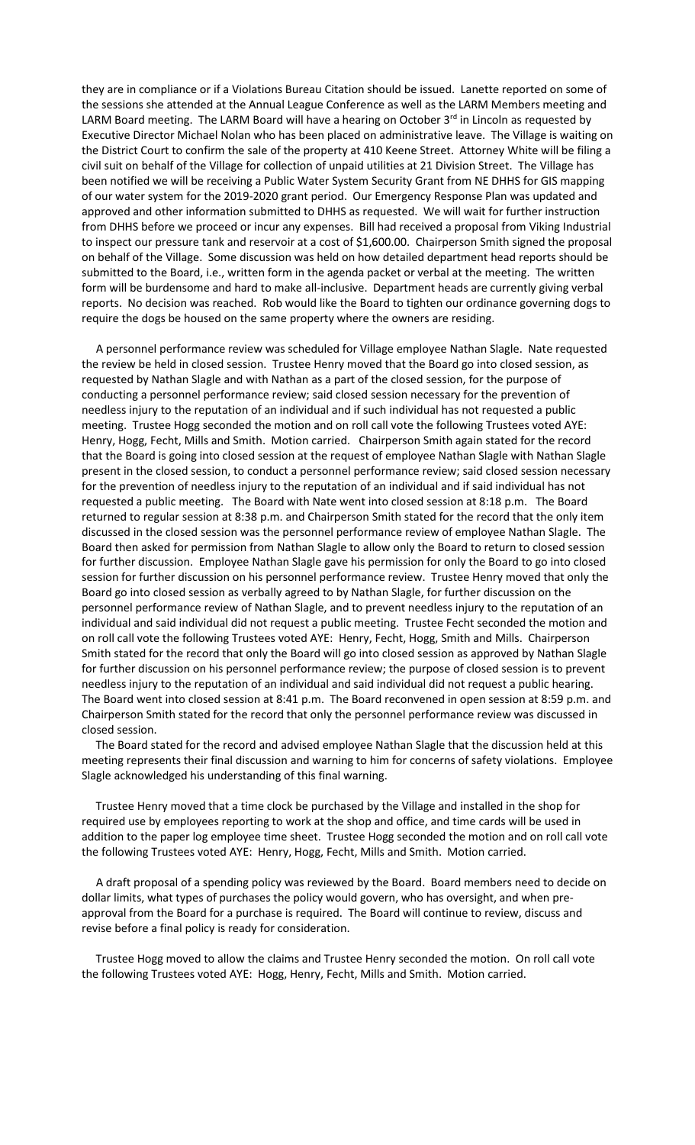they are in compliance or if a Violations Bureau Citation should be issued. Lanette reported on some of the sessions she attended at the Annual League Conference as well as the LARM Members meeting and LARM Board meeting. The LARM Board will have a hearing on October 3<sup>rd</sup> in Lincoln as requested by Executive Director Michael Nolan who has been placed on administrative leave. The Village is waiting on the District Court to confirm the sale of the property at 410 Keene Street. Attorney White will be filing a civil suit on behalf of the Village for collection of unpaid utilities at 21 Division Street. The Village has been notified we will be receiving a Public Water System Security Grant from NE DHHS for GIS mapping of our water system for the 2019-2020 grant period. Our Emergency Response Plan was updated and approved and other information submitted to DHHS as requested. We will wait for further instruction from DHHS before we proceed or incur any expenses. Bill had received a proposal from Viking Industrial to inspect our pressure tank and reservoir at a cost of \$1,600.00. Chairperson Smith signed the proposal on behalf of the Village. Some discussion was held on how detailed department head reports should be submitted to the Board, i.e., written form in the agenda packet or verbal at the meeting. The written form will be burdensome and hard to make all-inclusive. Department heads are currently giving verbal reports. No decision was reached. Rob would like the Board to tighten our ordinance governing dogs to require the dogs be housed on the same property where the owners are residing.

 A personnel performance review was scheduled for Village employee Nathan Slagle. Nate requested the review be held in closed session. Trustee Henry moved that the Board go into closed session, as requested by Nathan Slagle and with Nathan as a part of the closed session, for the purpose of conducting a personnel performance review; said closed session necessary for the prevention of needless injury to the reputation of an individual and if such individual has not requested a public meeting. Trustee Hogg seconded the motion and on roll call vote the following Trustees voted AYE: Henry, Hogg, Fecht, Mills and Smith. Motion carried. Chairperson Smith again stated for the record that the Board is going into closed session at the request of employee Nathan Slagle with Nathan Slagle present in the closed session, to conduct a personnel performance review; said closed session necessary for the prevention of needless injury to the reputation of an individual and if said individual has not requested a public meeting. The Board with Nate went into closed session at 8:18 p.m. The Board returned to regular session at 8:38 p.m. and Chairperson Smith stated for the record that the only item discussed in the closed session was the personnel performance review of employee Nathan Slagle. The Board then asked for permission from Nathan Slagle to allow only the Board to return to closed session for further discussion. Employee Nathan Slagle gave his permission for only the Board to go into closed session for further discussion on his personnel performance review. Trustee Henry moved that only the Board go into closed session as verbally agreed to by Nathan Slagle, for further discussion on the personnel performance review of Nathan Slagle, and to prevent needless injury to the reputation of an individual and said individual did not request a public meeting. Trustee Fecht seconded the motion and on roll call vote the following Trustees voted AYE: Henry, Fecht, Hogg, Smith and Mills. Chairperson Smith stated for the record that only the Board will go into closed session as approved by Nathan Slagle for further discussion on his personnel performance review; the purpose of closed session is to prevent needless injury to the reputation of an individual and said individual did not request a public hearing. The Board went into closed session at 8:41 p.m. The Board reconvened in open session at 8:59 p.m. and Chairperson Smith stated for the record that only the personnel performance review was discussed in closed session.

 The Board stated for the record and advised employee Nathan Slagle that the discussion held at this meeting represents their final discussion and warning to him for concerns of safety violations. Employee Slagle acknowledged his understanding of this final warning.

 Trustee Henry moved that a time clock be purchased by the Village and installed in the shop for required use by employees reporting to work at the shop and office, and time cards will be used in addition to the paper log employee time sheet. Trustee Hogg seconded the motion and on roll call vote the following Trustees voted AYE: Henry, Hogg, Fecht, Mills and Smith. Motion carried.

 A draft proposal of a spending policy was reviewed by the Board. Board members need to decide on dollar limits, what types of purchases the policy would govern, who has oversight, and when preapproval from the Board for a purchase is required. The Board will continue to review, discuss and revise before a final policy is ready for consideration.

 Trustee Hogg moved to allow the claims and Trustee Henry seconded the motion. On roll call vote the following Trustees voted AYE: Hogg, Henry, Fecht, Mills and Smith. Motion carried.